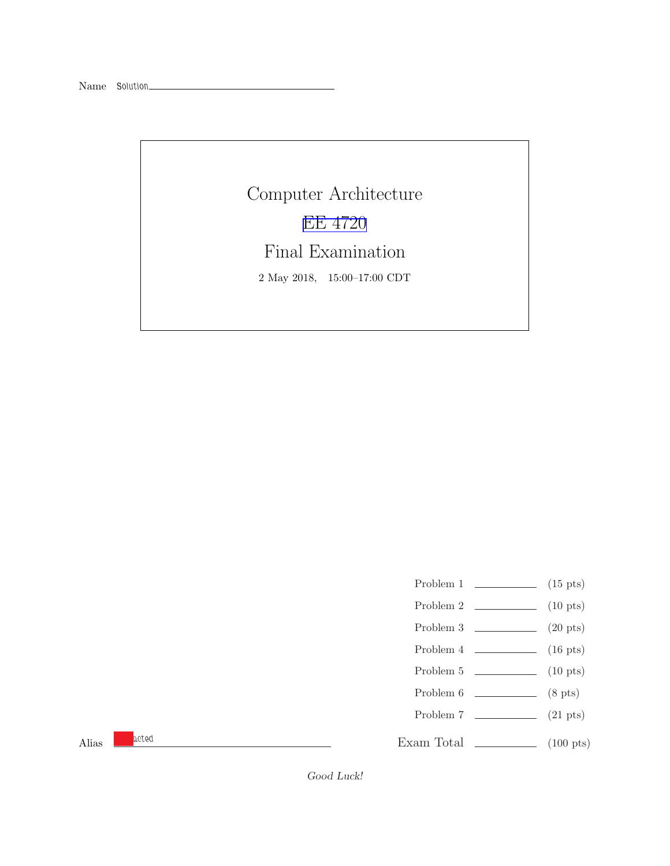Name Solution\_

Computer Architecture [EE 4720](http://www.ece.lsu.edu/ee4720/) Final Examination 2 May 2018, 15:00–17:00 CDT

- Problem 1  $\qquad \qquad$  (15 pts)
- Problem 2  $\qquad \qquad$  (10 pts)
- Problem 3 (20 pts)
- Problem  $4 \t\t(16 \text{ pts})$
- Problem 5 (10 pts)
- Problem 6 (8 pts)
- Problem 7 (21 pts)

Alias **acted** 

Exam Total \_\_\_\_\_\_\_\_\_\_\_\_\_ (100 pts)

Good Luck!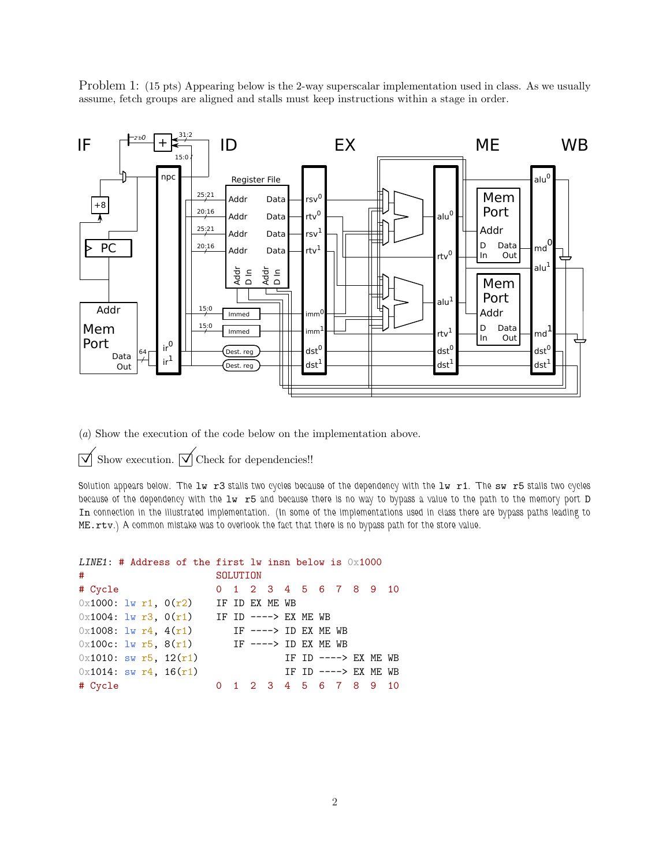Problem 1: (15 pts) Appearing below is the 2-way superscalar implementation used in class. As we usually assume, fetch groups are aligned and stalls must keep instructions within a stage in order.



(a) Show the execution of the code below on the implementation above.

 $\triangledown$  Show execution.  $\triangledown$  Check for dependencies!!

Solution appears below. The lw r3 stalls two cycles because of the dependency with the lw r1. The sw r5 stalls two cycles because of the dependency with the  $1w$  r5 and because there is no way to bypass a value to the path to the memory port D In connection in the illustrated implementation. (In some of the implementations used in class there are bypass paths leading to ME.rtv.) A common mistake was to overlook the fact that there is no bypass path for the store value.

## LINE1: # Address of the first lw insn below is  $0x1000$ # SOLUTION # Cycle 0 1 2 3 4 5 6 7 8 9 10  $0 \times 1000$ :  $1 \text{w r1}$ ,  $0(r2)$  IF ID EX ME WB  $0 \times 1004$ : lw r3,  $0(r1)$  IF ID ----> EX ME WB  $0x1008: \exists w \; r4, \; 4(r1)$  IF ----> ID EX ME WB  $0x100c: \exists w \; r5, \; 8(r1)$  IF ----> ID EX ME WB  $0x1010:$  sw r5,  $12(r1)$  IF ID ----> EX ME WB  $0x1014:$  sw r4,  $16(r1)$  IF ID ----> EX ME WB

# Cycle 0 1 2 3 4 5 6 7 8 9 10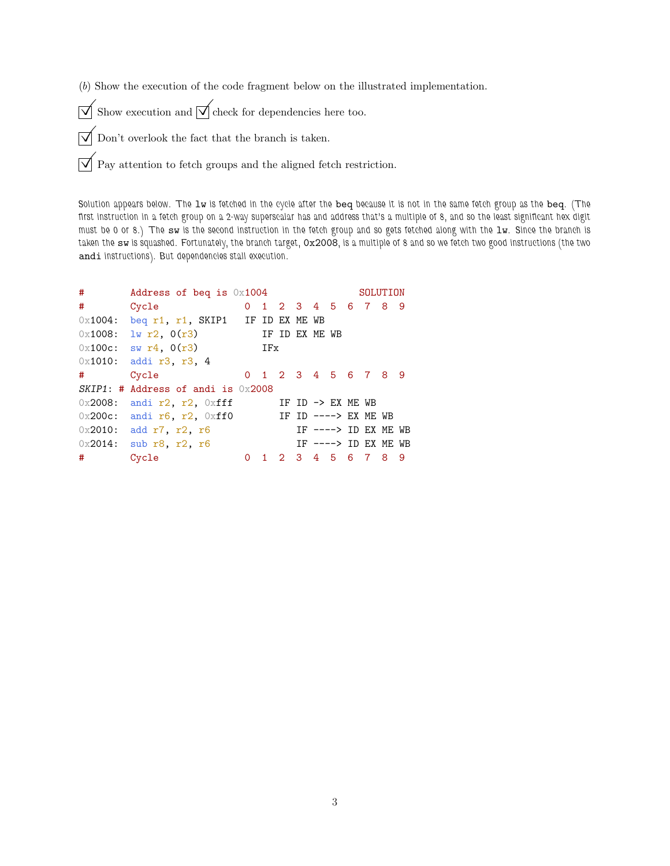(b) Show the execution of the code fragment below on the illustrated implementation.

 $\overrightarrow{\bigvee}$  Show execution and  $\overrightarrow{\bigvee}$  check for dependencies here too.

 $\overrightarrow{\mathsf{a}}$  Don't overlook the fact that the branch is taken.

 $\boxed{\bigvee}$  Pay attention to fetch groups and the aligned fetch restriction.

Solution appears below. The lw is fetched in the cycle after the beq because it is not in the same fetch group as the beq. (The first instruction in a fetch group on a 2-way superscalar has and address that's a multiple of 8, and so the least significant hex digit must be 0 or 8.) The sw is the second instruction in the fetch group and so gets fetched along with the lw. Since the branch is taken the sw is squashed. Fortunately, the branch target, 0x2008, is a multiple of 8 and so we fetch two good instructions (the two andi instructions). But dependencies stall execution.

| $\#$          | Address of beq is $0x1004$                           |          |     |  |  |  |  |                       |  | SOLUTION |  |  |  |
|---------------|------------------------------------------------------|----------|-----|--|--|--|--|-----------------------|--|----------|--|--|--|
| #             | Cycle                                                |          |     |  |  |  |  | 0 1 2 3 4 5 6 7 8 9   |  |          |  |  |  |
|               | $0x1004$ : beq r1, r1, SKIP1 IF ID EX ME WB          |          |     |  |  |  |  |                       |  |          |  |  |  |
|               | $0 \times 1008$ : lw r2, $0(r3)$ IF ID EX ME WB      |          |     |  |  |  |  |                       |  |          |  |  |  |
|               | $0x100c$ : sw r4, $0(r3)$                            |          | IFx |  |  |  |  |                       |  |          |  |  |  |
|               | $0x1010$ : addi r3, r3, 4                            |          |     |  |  |  |  |                       |  |          |  |  |  |
| $\#$ and $\#$ | Cycle                                                |          |     |  |  |  |  | 0 1 2 3 4 5 6 7 8 9   |  |          |  |  |  |
|               | $SKIP1:$ # Address of andi is $0x2008$               |          |     |  |  |  |  |                       |  |          |  |  |  |
|               | $0x2008$ : andi r2, r2, $0xff$ IF ID -> EX ME WB     |          |     |  |  |  |  |                       |  |          |  |  |  |
|               | $0x200c$ : andi r6, r2, $0xff0$ IF ID ----> EX ME WB |          |     |  |  |  |  |                       |  |          |  |  |  |
|               | $0x2010$ : add r7, r2, r6                            |          |     |  |  |  |  | IF $--->$ ID EX ME WB |  |          |  |  |  |
|               | $0x2014$ : sub r8, r2, r6                            |          |     |  |  |  |  | IF $--->$ ID EX ME WB |  |          |  |  |  |
| $\#$          | Cycle                                                | $\Omega$ |     |  |  |  |  | 1 2 3 4 5 6 7 8 9     |  |          |  |  |  |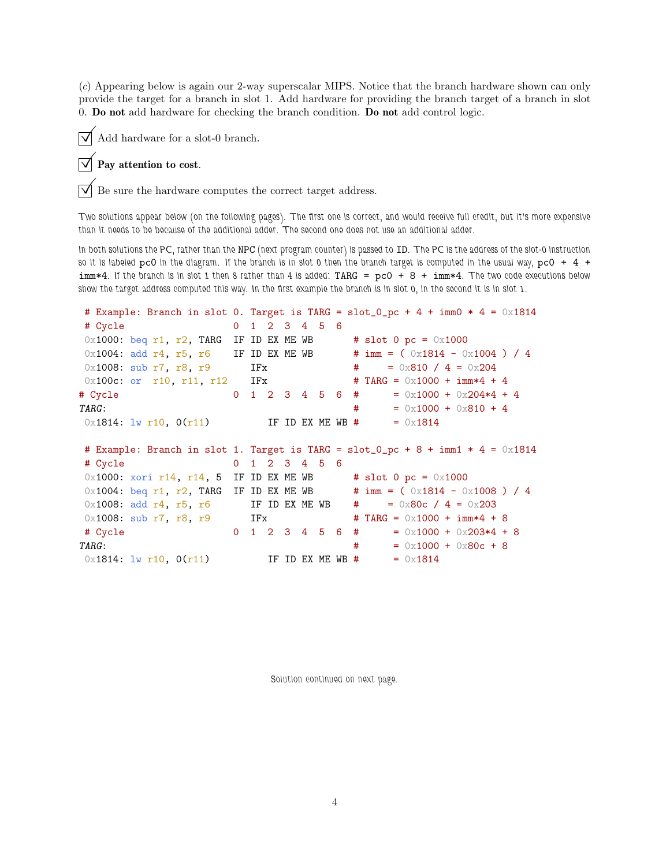(c) Appearing below is again our 2-way superscalar MIPS. Notice that the branch hardware shown can only provide the target for a branch in slot 1. Add hardware for providing the branch target of a branch in slot 0. Do not add hardware for checking the branch condition. Do not add control logic.

Add hardware for a slot-0 branch.

## Pay attention to cost.

Be sure the hardware computes the correct target address.

Two solutions appear below (on the following pages). The first one is correct, and would receive full credit, but it's more expensive than it needs to be because of the additional adder. The second one does not use an additional adder.

In both solutions the PC, rather than the NPC (next program counter) is passed to ID. The PC is the address of the slot-0 instruction so it is labeled pc0 in the diagram. If the branch is in slot 0 then the branch target is computed in the usual way, pc0  $+$  4  $+$  $imm*4$ . If the branch is in slot 1 then 8 rather than 4 is added: TARG =  $pc0 + 8 + imm*4$ . The two code executions below show the target address computed this way. In the first example the branch is in slot 0, in the second it is in slot 1.

```
# Example: Branch in slot 0. Target is TARG = slot_0pc + 4 + imm0 * 4 = 0x1814
# Cycle 0 1 2 3 4 5 6
0x1000: beq r1, r2, TARG IF ID EX ME WB \qquad # slot 0 pc = 0x1000
0x1004: add r4, r5, r6 IF ID EX ME WB # imm = (0x1814 - 0x1004) / 4
0 \times 1008: sub r7, r8, r9 IFx \# = 0x810 / 4 = 0x204
0 \times 100c: or r10, r11, r12 IFx \# TARG = 0 \times 1000 + \text{imm} * 4 + 4# Cycle 0 1 2 3 4 5 6 # = 0x1000 + 0x204*4 + 4
TARG: \texttt{#} = 0 \times 1000 + 0 \times 810 + 40 \times 1814: lw r10, 0(r11) IF ID EX ME WB # = 0 \times 1814# Example: Branch in slot 1. Target is TARG = slot_0pc + 8 + imm1 * 4 = 0x1814# Cycle 0 1 2 3 4 5 6
0x1000: xori r14, r14, 5 IF ID EX ME WB # slot 0 pc = 0x1000
0x1004: beq r1, r2, TARG IF ID EX ME WB # imm = (0x1814 - 0x1008) / 4
0x1008: add r4, r5, r6 IF ID EX ME WB # = 0x80c / 4 = 0x203
0x1008: sub r7, r8, r9 IFx \qquad # TARG = 0x1000 + imm*4 + 8
# Cycle 0 \t1 \t2 \t3 \t4 \t5 \t6 \t\# = 0 \t\text{×}1000 + 0 \t\text{×}203 \t\text{*}4 + 8\text{TRRG:} \text{TRRG:} \text{TRRG:} \text{TRRG:} \text{TRSG:} \text{TRSG:} \text{TRSG:} \text{TRSG:} \text{TRSG:} \text{TRSG:} \text{TRSG:} \text{TRSG:} \text{TRSG:} \text{TRSG:} \text{TRSG:} \text{TRSG:} \text{TRSG:} \text{TRSG:} \text{TRSG:} \text{TRSG:} \text{TRSG:} \text{TRSG:} 0 \times 1814: lw r10, 0(r11) IF ID EX ME WB # = 0 \times 1814
```
Solution continued on next page.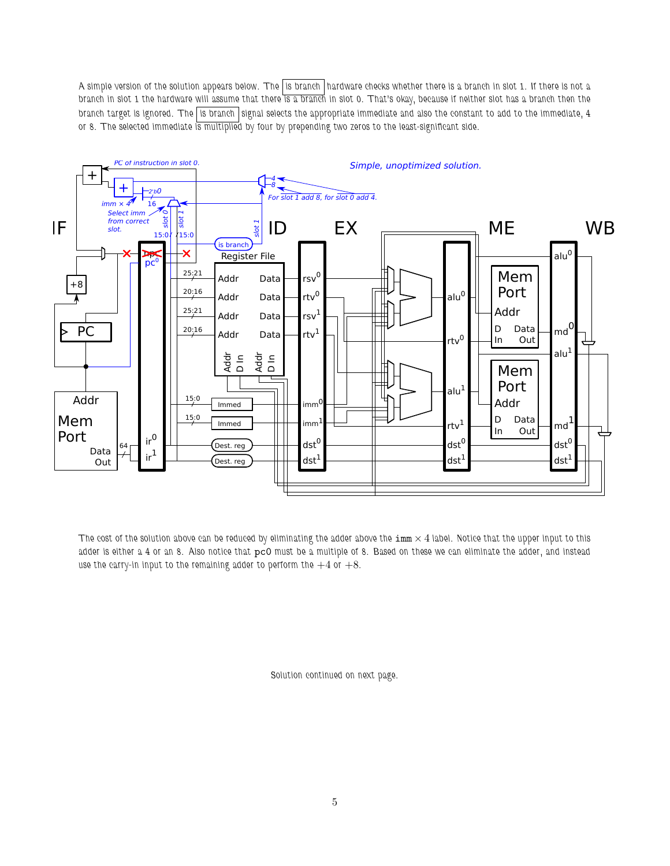A simple version of the solution appears below. The is branch hardware checks whether there is a branch in slot 1. If there is not a branch in slot 1 the hardware will assume that there is a branch in slot 0. That's okay, because if neither slot has a branch then the branch target is ignored. The is branch signal selects the appropriate immediate and also the constant to add to the immediate, 4 or 8. The selected immediate is multiplied by four by prepending two zeros to the least-significant side.



The cost of the solution above can be reduced by eliminating the adder above the  $\text{imm} \times 4$  label. Notice that the upper input to this adder is either a 4 or an 8. Also notice that pc0 must be a multiple of 8. Based on these we can eliminate the adder, and instead use the carry-in input to the remaining adder to perform the  $+4$  or  $+8$ .

Solution continued on next page.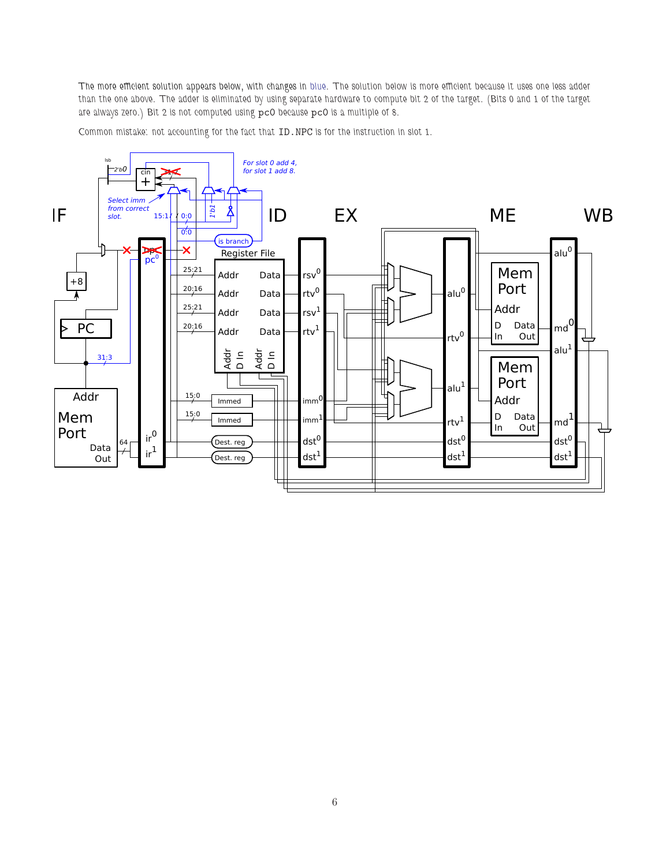The more efficient solution appears below, with changes in blue. The solution below is more efficient because it uses one less adder than the one above. The adder is eliminated by using separate hardware to compute bit 2 of the target. (Bits 0 and 1 of the target are always zero.) Bit 2 is not computed using pc0 because pc0 is a multiple of 8.

Common mistake: not accounting for the fact that ID.NPC is for the instruction in slot 1.

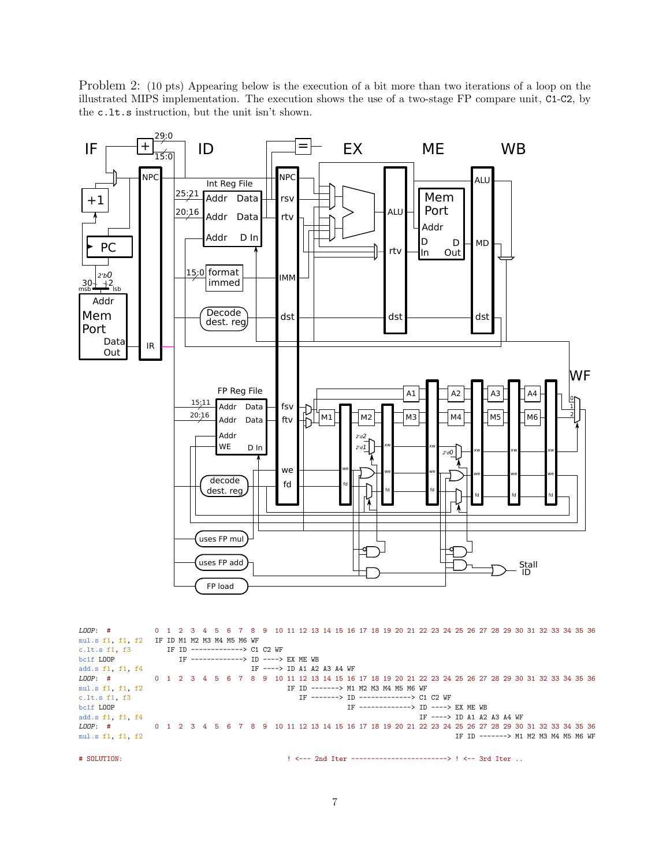Problem 2: (10 pts) Appearing below is the execution of a bit more than two iterations of a loop on the illustrated MIPS implementation. The execution shows the use of a two-stage FP compare unit, C1-C2, by the c.lt.s instruction, but the unit isn't shown.



LOOP: # 0 1 2 3 4 5 6 7 8 9 10 11 12 13 14 15 16 17 18 19 20 21 22 23 24 25 26 27 28 29 30 31 32 33 34 35 36 mul.s f1, f1, f2 IF ID M1 M2 M3 M4 M5 M6 WF<br>c.lt.s f1, f3 IF ID -------------> C1 c.lt.s f1, f3 IF ID -------------> C1 C2 WF<br>bcif LOOP IF --------------> ID ----> IF -------------> ID ----> EX ME WB add.s f1, f1, f4<br>
LOOP: # 0 1 2 3 4 5 6 7 8 9 10 11 12 13 14 15 16 0 1 2 3 4 5 6 7 8 9 10 11 12 13 14 15 16 17 18 19 20 21 22 23 24 25 26 27 28 29 30 31 32 33 34 35 36 mul.s f1, f1, f2 IF ID -------> M1 M2 M3 M4 M5 M6 WF c.lt.s f1, f3  $\qquad \qquad \text{IF}$  --------> ID -------------> C1 C2 WF bc1f L00P bc1f LOOP  $\qquad \qquad \text{IF}$  -------------> ID ----> EX ME WB add.s f1, f1, f4  $\qquad \qquad \text{IF}$  ----> ID A1 A2 IF ----> ID A1 A2 A3 A4 WF LOOP: # 0 1 2 3 4 5 6 7 8 9 10 11 12 13 14 15 16 17 18 19 20 21 22 23 24 25 26 27 28 29 30 31 32 33 34 35 36 mul.s f1, f1, f2 IF ID -------> M1 M2 M3 M4 M5 M6 WF

# SOLUTION: ! <--- 2nd Iter ------------------------> ! <-- 3rd Iter ..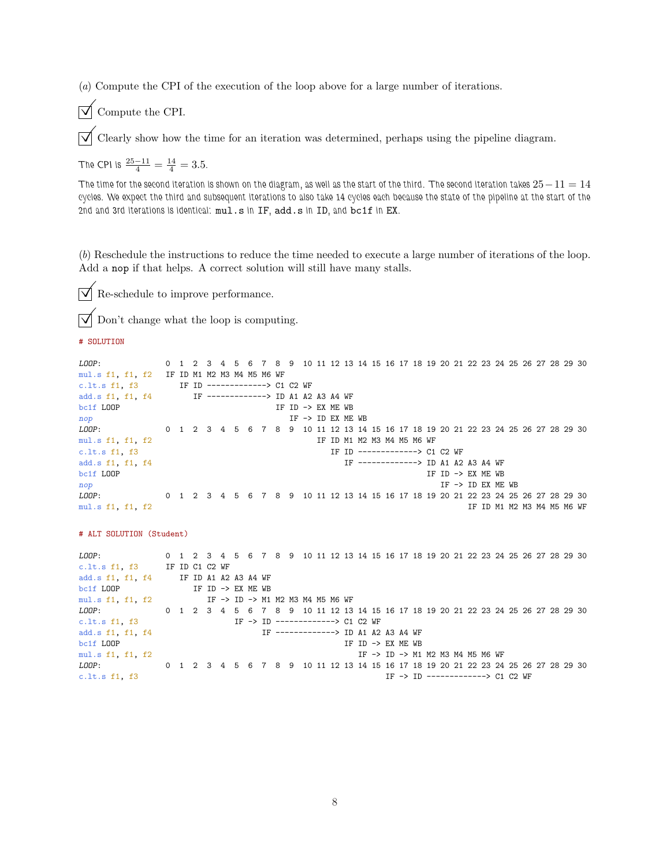(a) Compute the CPI of the execution of the loop above for a large number of iterations.

 $\triangledown$  Compute the CPI.

 $\triangledown$  Clearly show how the time for an iteration was determined, perhaps using the pipeline diagram.

The CPI is  $\frac{25-11}{4} = \frac{14}{4} = 3.5$ .

The time for the second iteration is shown on the diagram, as well as the start of the third. The second iteration takes  $25-11=14$ cycles. We expect the third and subsequent iterations to also take 14 cycles each because the state of the pipeline at the start of the 2nd and 3rd iterations is identical: mul.s in IF, add.s in ID, and bc1f in EX.

(b) Reschedule the instructions to reduce the time needed to execute a large number of iterations of the loop. Add a nop if that helps. A correct solution will still have many stalls.

 $\triangledown$  Re-schedule to improve performance.

Don't change what the loop is computing.

# SOLUTION

```
LOOP: 0 1 2 3 4 5 6 7 8 9 10 11 12 13 14 15 16 17 18 19 20 21 22 23 24 25 26 27 28 29 30
mul.s f1, f1, f2 IF ID M1 M2 M3 M4 M5 M6 WF
c.lt.s f1, f3 IF ID -------------> C1 C2 WF add.s f1, f1, f4 IF -------------> ID A1 A2
               IF -------------> ID A1 A2 A3 A4 WF
bc1f LOOP IF ID -> EX ME WB
nop IF \rightarrow ID EX ME WBLOOP: 0 1 2 3 4 5 6 7 8 9 10 11 12 13 14 15 16 17 18 19 20 21 22 23 24 25 26 27 28 29 30
mul.s f1, f1, f2 IF ID M1 M2 M3 M4 M5 M6 WF
c.lt.s f1, f3 IF ID -------------> C1 C2 WF
add.s f1, f1, f4 IF -------------> ID A1 A2 A3 A4 WF
bclf LOOP IF ID \rightarrow EX ME WB
\text{np} IF \rightarrow ID EX ME WB
LOOP: 0 1 2 3 4 5 6 7 8 9 10 11 12 13 14 15 16 17 18 19 20 21 22 23 24 25 26 27 28 29 30
mul.s f1, f1, f2 IF ID M1 M2 M3 M4 M5 M6 WF
# ALT SOLUTION (Student)
LOOP: 0 1 2 3 4 5 6 7 8 9 10 11 12 13 14 15 16 17 18 19 20 21 22 23 24 25 26 27 28 29 30
c.lt.s f1, f3 IF ID C1 C2 WF
add.s f1, f1, f4 IF ID A1 A2 A3 A4 WF
bc1f LOOP IF ID \rightarrow EX ME WB
mul.s f1, f1, f2 IF -> ID -> M1 M2 M3 M4 M5 M6 WF
LOOP: 0 1 2 3 4 5 6 7 8 9 10 11 12 13 14 15 16 17 18 19 20 21 22 23 24 25 26 27 28 29 30
```
c.lt.s f1, f3  $IF \rightarrow ID$  -------------> C1 C2 WF add.s f1, f1, f4  $IF$  ---------------> ID A1 A2 IF -------------> ID A1 A2 A3 A4 WF bc1f LOOP IF ID -> EX ME WB mul.s f1, f1, f2 IF -> ID -> M1 M2 M3 M4 M5 M6 WF LOOP: 0 1 2 3 4 5 6 7 8 9 10 11 12 13 14 15 16 17 18 19 20 21 22 23 24 25 26 27 28 29 30 c.lt.s f1, f3  $IF \rightarrow IP$  ------------> C1 C2 WF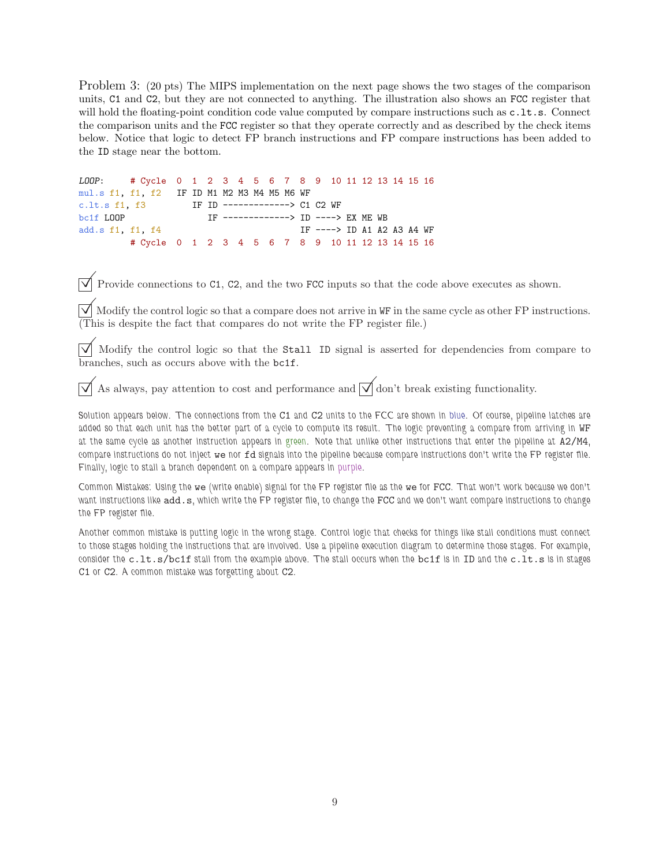Problem 3: (20 pts) The MIPS implementation on the next page shows the two stages of the comparison units, C1 and C2, but they are not connected to anything. The illustration also shows an FCC register that will hold the floating-point condition code value computed by compare instructions such as  $c.l.t.s.$  Connect the comparison units and the FCC register so that they operate correctly and as described by the check items below. Notice that logic to detect FP branch instructions and FP compare instructions has been added to the ID stage near the bottom.

LOOP: # Cycle 0 1 2 3 4 5 6 7 8 9 10 11 12 13 14 15 16 mul.s f1, f1, f2 IF ID M1 M2 M3 M4 M5 M6 WF c.lt.s f1, f3 IF ID -------------> C1 C2 WF bc1f LOOP **IF ------------> ID ----> EX ME WB** add.s f1, f1, f4 IF ----> ID A1 A2 A3 A4 WF # Cycle 0 1 2 3 4 5 6 7 8 9 10 11 12 13 14 15 16

 $\overrightarrow{\mathsf{V}}$  Provide connections to C1, C2, and the two FCC inputs so that the code above executes as shown.

 $\forall$  Modify the control logic so that a compare does not arrive in WF in the same cycle as other FP instructions. (This is despite the fact that compares do not write the FP register file.)

 $\overline{\vee}$  Modify the control logic so that the Stall ID signal is asserted for dependencies from compare to branches, such as occurs above with the bc1f.

As always, pay attention to cost and performance and  $\overline{\sqrt{\ }}$  don't break existing functionality.

Solution appears below. The connections from the C1 and C2 units to the FCC are shown in blue. Of course, pipeline latches are added so that each unit has the better part of a cycle to compute its result. The logic preventing a compare from arriving in WF at the same cycle as another instruction appears in green. Note that unlike other instructions that enter the pipeline at A2/M4, compare instructions do not inject we nor fd signals into the pipeline because compare instructions don't write the FP register file. Finally, logic to stall a branch dependent on a compare appears in purple.

Common Mistakes: Using the we (write enable) signal for the FP register file as the we for FCC. That won't work because we don't want instructions like add.s, which write the FP register file, to change the FCC and we don't want compare instructions to change the FP register file.

Another common mistake is putting logic in the wrong stage. Control logic that checks for things like stall conditions must connect to those stages holding the instructions that are involved. Use a pipeline execution diagram to determine those stages. For example, consider the c.lt.s/bc1f stall from the example above. The stall occurs when the bc1f is in ID and the c.lt.s is in stages C1 or C2. A common mistake was forgetting about C2.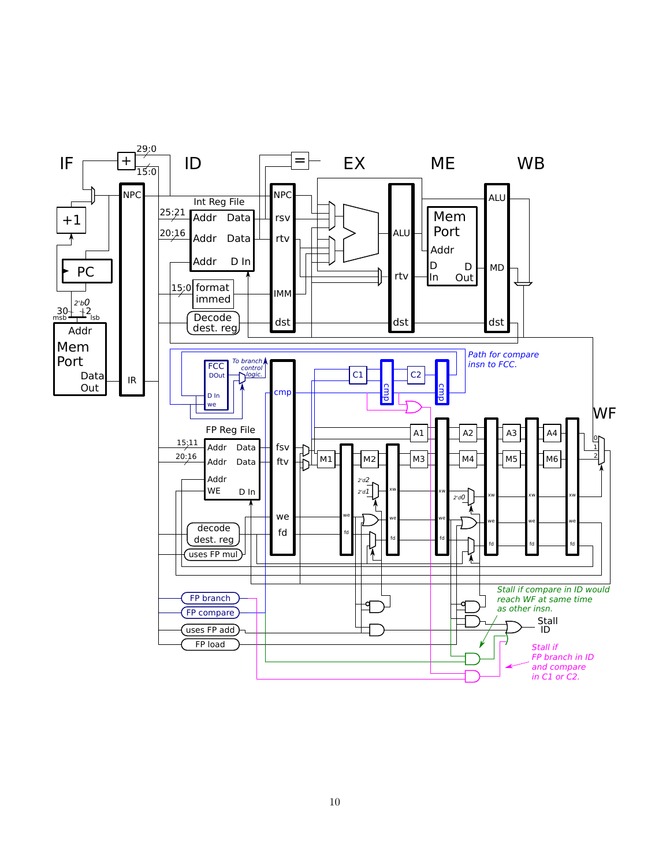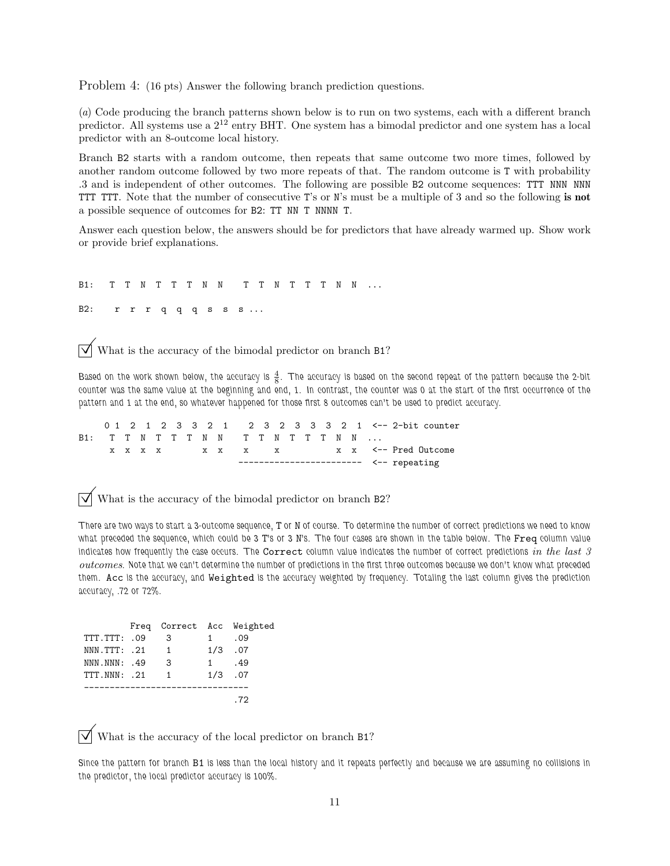Problem 4: (16 pts) Answer the following branch prediction questions.

(a) Code producing the branch patterns shown below is to run on two systems, each with a different branch predictor. All systems use a  $2^{12}$  entry BHT. One system has a bimodal predictor and one system has a local predictor with an 8-outcome local history.

Branch B2 starts with a random outcome, then repeats that same outcome two more times, followed by another random outcome followed by two more repeats of that. The random outcome is T with probability .3 and is independent of other outcomes. The following are possible B2 outcome sequences: TTT NNN NNN TTT TTT. Note that the number of consecutive T's or N's must be a multiple of 3 and so the following is not a possible sequence of outcomes for B2: TT NN T NNNN T.

Answer each question below, the answers should be for predictors that have already warmed up. Show work or provide brief explanations.

B1: T T N T T T N N T T N T T T N N ...

B2: r r r q q q s s s ...

What is the accuracy of the bimodal predictor on branch B1?

Based on the work shown below, the accuracy is  $\frac{4}{8}$ . The accuracy is based on the second repeat of the pattern because the 2-bit counter was the same value at the beginning and end, 1. In contrast, the counter was 0 at the start of the first occurrence of the pattern and 1 at the end, so whatever happened for those first 8 outcomes can't be used to predict accuracy.

0 1 2 1 2 3 3 2 1 2 3 2 3 3 3 2 1 <-- 2-bit counter B1: T T N T T T N N T T N T T T N N ... x x x x x x x x x x x x x <-- Pred Outcome  $---------- ----$  repeating

What is the accuracy of the bimodal predictor on branch B2?

There are two ways to start a 3-outcome sequence, T or N of course. To determine the number of correct predictions we need to know what preceded the sequence, which could be 3 T's or 3 N's. The four cases are shown in the table below. The Freq column value indicates how frequently the case occurs. The Correct column value indicates the number of correct predictions in the last  $3$ outcomes. Note that we can't determine the number of predictions in the first three outcomes because we don't know what preceded them. Acc is the accuracy, and Weighted is the accuracy weighted by frequency. Totaling the last column gives the prediction accuracy, .72 or 72%.

|                  |                |           | Freq Correct Acc Weighted |
|------------------|----------------|-----------|---------------------------|
| TTT.TTT: .09     | 3              | $1 \quad$ | .09                       |
| $NNN$ . TTT: .21 | $\overline{1}$ |           | $1/3$ .07                 |
| NNN. NNN: .49    | 3              | 1         | .49                       |
| TTT.NNN: .21     | $\overline{1}$ |           | $1/3$ .07                 |
|                  |                |           |                           |
|                  |                |           | - 72                      |

What is the accuracy of the local predictor on branch B1?

Since the pattern for branch B1 is less than the local history and it repeats perfectly and because we are assuming no collisions in the predictor, the local predictor accuracy is 100%.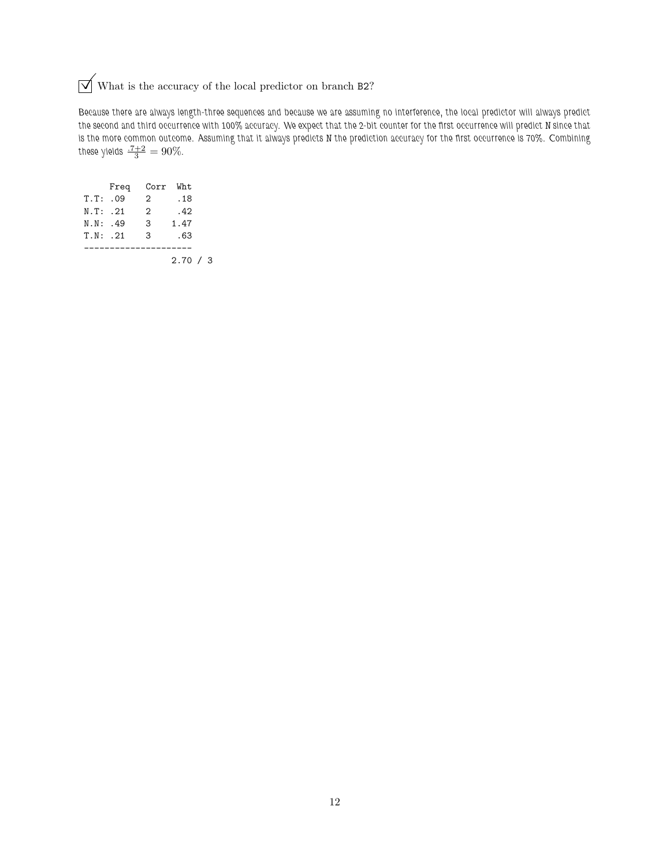## $\sqrt{\phantom{a}}$  What is the accuracy of the local predictor on branch B2?

Because there are always length-three sequences and because we are assuming no interference, the local predictor will always predict the second and third occurrence with 100% accuracy. We expect that the 2-bit counter for the first occurrence will predict N since that is the more common outcome. Assuming that it always predicts N the prediction accuracy for the first occurrence is 70%. Combining these yields  $\frac{.7+2}{3} = 90\%$ .

|              | Freq | Corr Wht |          |  |
|--------------|------|----------|----------|--|
| T.T: .09     |      | 2        | . 18     |  |
| N.T: .21     |      | 2        | .42      |  |
| N.N: .49     |      | 3        | 1.47     |  |
| $T \ N$ : 21 |      | 3        | . 63     |  |
|              |      |          |          |  |
|              |      |          | 2.70 / 3 |  |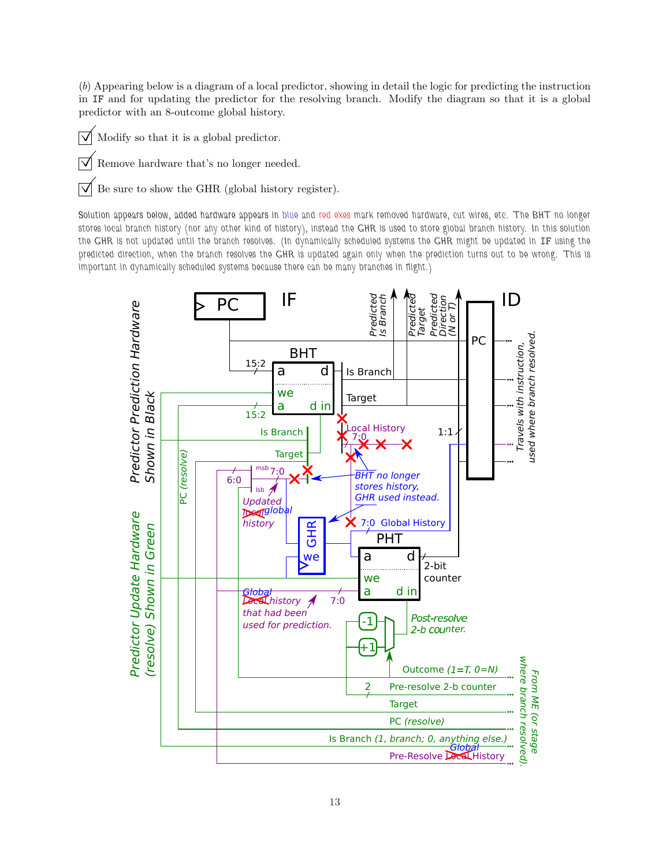(b) Appearing below is a diagram of a local predictor, showing in detail the logic for predicting the instruction in IF and for updating the predictor for the resolving branch. Modify the diagram so that it is a global predictor with an 8-outcome global history.

- $\triangledown$  Modify so that it is a global predictor.
- $\sqrt{\phantom{a}}$  Remove hardware that's no longer needed.

 $\triangledown$  Be sure to show the GHR (global history register).

Solution appears below, added hardware appears in blue and red exes mark removed hardware, cut wires, etc. The BHT no longer stores local branch history (nor any other kind of history), instead the GHR is used to store global branch history. In this solution the GHR is not updated until the branch resolves. (In dynamically scheduled systems the GHR might be updated in IF using the predicted direction, when the branch resolves the GHR is updated again only when the prediction turns out to be wrong. This is important in dynamically scheduled systems because there can be many branches in flight.)

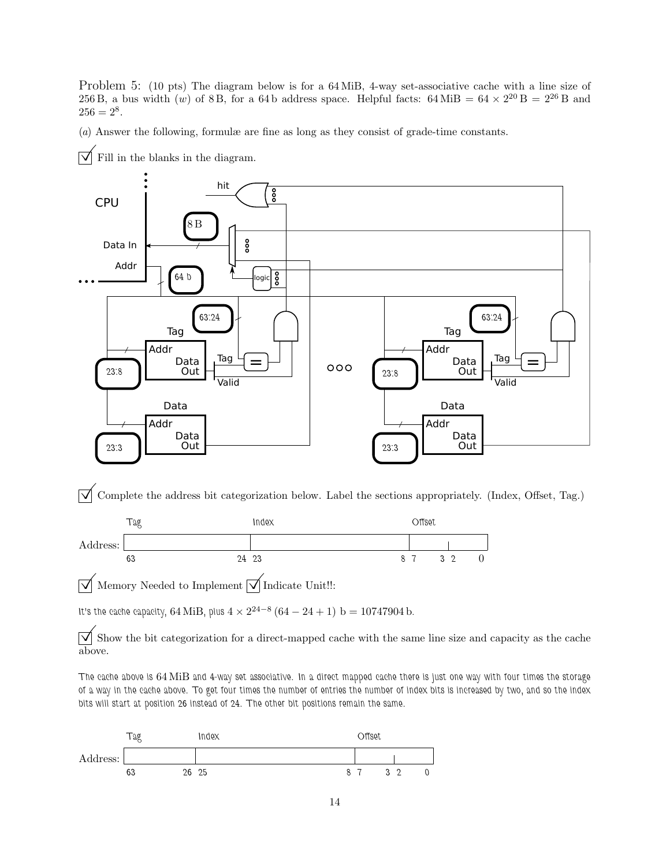Problem 5: (10 pts) The diagram below is for a 64 MiB, 4-way set-associative cache with a line size of 256 B, a bus width  $(w)$  of 8 B, for a 64 b address space. Helpful facts: 64 MiB = 64  $\times$  2<sup>20</sup> B = 2<sup>26</sup> B and  $256 = 2^8.$ 

(a) Answer the following, formulæ are fine as long as they consist of grade-time constants.



Fill in the blanks in the diagram.

 $\overrightarrow{\mathcal{A}}$  Complete the address bit categorization below. Label the sections appropriately. (Index, Offset, Tag.)



 $\overrightarrow{\mathcal{A}}$  Memory Needed to Implement  $\overrightarrow{\mathcal{A}}$  Indicate Unit!!:

It's the cache capacity, 64 MiB, plus  $4 \times 2^{24-8}$   $(64 - 24 + 1)$  b  $= 10747904$  b.

 $\overrightarrow{\mathcal{A}}$  Show the bit categorization for a direct-mapped cache with the same line size and capacity as the cache above.

The cache above is 64 MiB and 4-way set associative. In a direct mapped cache there is just one way with four times the storage of a way in the cache above. To get four times the number of entries the number of index bits is increased by two, and so the index bits will start at position 26 instead of 24. The other bit positions remain the same.

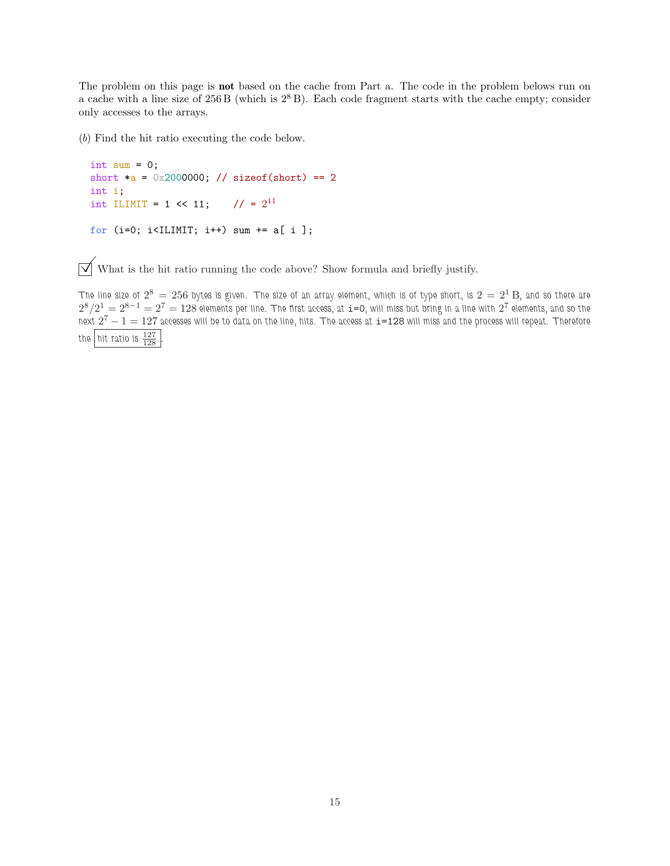The problem on this page is **not** based on the cache from Part a. The code in the problem belows run on a cache with a line size of  $256 B$  (which is  $2<sup>8</sup> B$ ). Each code fragment starts with the cache empty; consider only accesses to the arrays.

(b) Find the hit ratio executing the code below.

```
int sum = 0;
short a = 0x2000000; // sizeof(short) == 2
int i;
int ILIMIT = 1 << 11; // = 2^{11}for (i=0; i<IILMIT; i++) sum += a[i];
```
 $\boxed{\surd}$  What is the hit ratio running the code above? Show formula and briefly justify.

The line size of  $2^8\,=\,256$  bytes is given. The size of an array element, which is of type short, is  $2\,=\,2^1\,\mathrm{B}$ , and so there are  $2^8/2^1=2^{8-1}=2^7=128$  elements per line. The first access, at  $\mathtt{i=0},$  will miss but bring in a line with  $2^7$  elements, and so the next  $2^7-1=127$  accesses will be to data on the line, hits. The access at  $\mathtt{i=128}$  will miss and the process will repeat. Therefore the  $|$  hit ratio is  $\frac{127}{128}$  .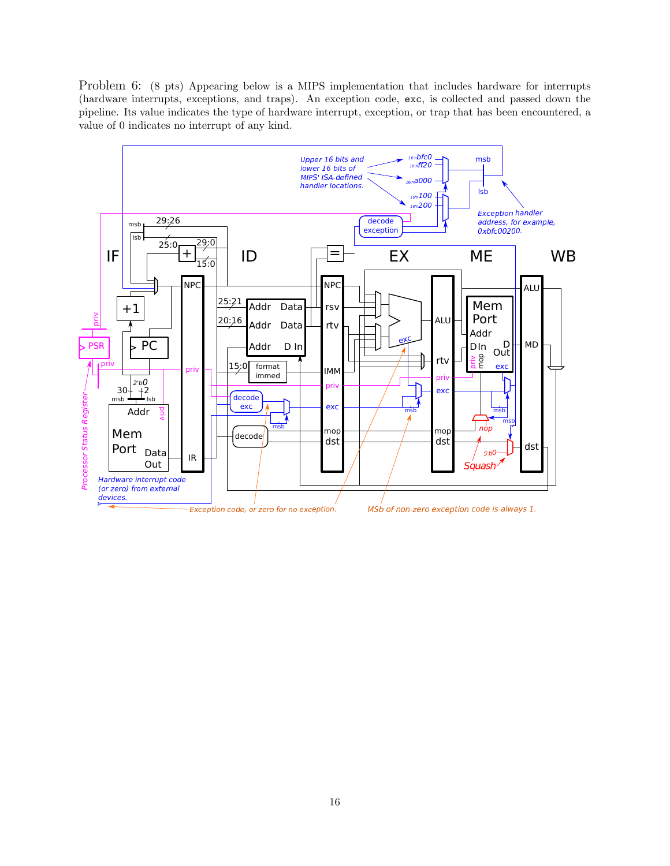Problem 6: (8 pts) Appearing below is a MIPS implementation that includes hardware for interrupts (hardware interrupts, exceptions, and traps). An exception code, exc, is collected and passed down the pipeline. Its value indicates the type of hardware interrupt, exception, or trap that has been encountered, a value of 0 indicates no interrupt of any kind.

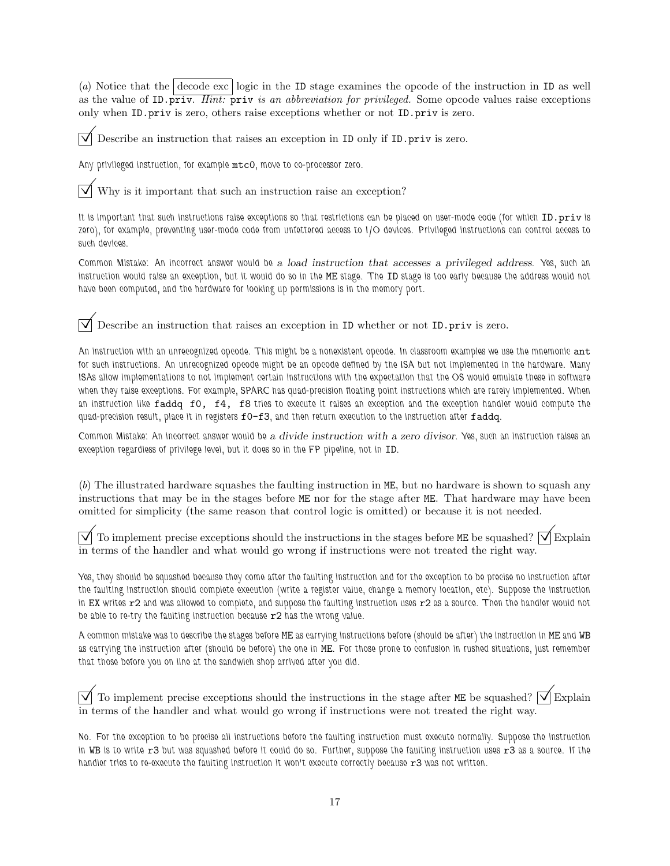(a) Notice that the decode exc logic in the ID stage examines the opcode of the instruction in ID as well as the value of ID.priv. Hint: priv is an abbreviation for privileged. Some opcode values raise exceptions only when ID.priv is zero, others raise exceptions whether or not ID.priv is zero.

Describe an instruction that raises an exception in ID only if ID.priv is zero.

Any privileged instruction, for example mtc0, move to co-processor zero.

Why is it important that such an instruction raise an exception?

It is important that such instructions raise exceptions so that restrictions can be placed on user-mode code (for which ID.priv is zero), for example, preventing user-mode code from unfettered access to I/O devices. Privileged instructions can control access to such devices.

Common Mistake: An incorrect answer would be a load instruction that accesses a privileged address. Yes, such an instruction would raise an exception, but it would do so in the ME stage. The ID stage is too early because the address would not have been computed, and the hardware for looking up permissions is in the memory port.

Describe an instruction that raises an exception in ID whether or not ID.priv is zero.

An instruction with an unrecognized opcode. This might be a nonexistent opcode. In classroom examples we use the mnemonic  ${\tt ant}$ for such instructions. An unrecognized opcode might be an opcode defined by the ISA but not implemented in the hardware. Many ISAs allow implementations to not implement certain instructions with the expectation that the OS would emulate these in software when they raise exceptions. For example, SPARC has quad-precision floating point instructions which are rarely implemented. When an instruction like faddq f0, f4, f8 tries to execute it raises an exception and the exception handler would compute the quad-precision result, place it in registers f0-f3, and then return execution to the instruction after faddq.

Common Mistake: An incorrect answer would be a divide instruction with a zero divisor. Yes, such an instruction raises an exception regardless of privilege level, but it does so in the FP pipeline, not in ID.

(b) The illustrated hardware squashes the faulting instruction in ME, but no hardware is shown to squash any instructions that may be in the stages before ME nor for the stage after ME. That hardware may have been omitted for simplicity (the same reason that control logic is omitted) or because it is not needed.

To implement precise exceptions should the instructions in the stages before ME be squashed?  $\sqrt{\phantom{a}}\$ Explain in terms of the handler and what would go wrong if instructions were not treated the right way.

Yes, they should be squashed because they come after the faulting instruction and for the exception to be precise no instruction after the faulting instruction should complete execution (write a register value, change a memory location, etc). Suppose the instruction in EX writes r2 and was allowed to complete, and suppose the faulting instruction uses r2 as a source. Then the handler would not be able to re-try the faulting instruction because r2 has the wrong value.

A common mistake was to describe the stages before ME as carrying instructions before (should be after) the instruction in ME and WB as carrying the instruction after (should be before) the one in ME. For those prone to confusion in rushed situations, just remember that those before you on line at the sandwich shop arrived after you did.

 $\overline{\vee}$  To implement precise exceptions should the instructions in the stage after ME be squashed?  $\overline{\vee}$  Explain in terms of the handler and what would go wrong if instructions were not treated the right way.

No. For the exception to be precise all instructions before the faulting instruction must execute normally. Suppose the instruction in WB is to write  $r3$  but was squashed before it could do so. Further, suppose the faulting instruction uses  $r3$  as a source. If the handler tries to re-execute the faulting instruction it won't execute correctly because r3 was not written.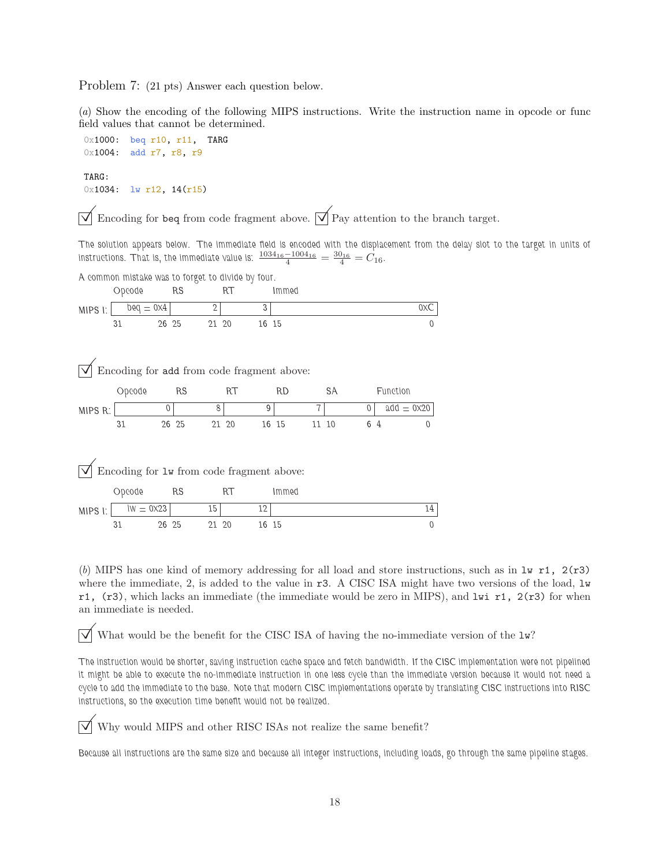Problem 7: (21 pts) Answer each question below.

(a) Show the encoding of the following MIPS instructions. Write the instruction name in opcode or func field values that cannot be determined.

0x1000: beq r10, r11, TARG 0x1004: add r7, r8, r9 TARG:

0x1034: lw r12, 14(r15)

Encoding for beq from code fragment above.  $\overrightarrow{\mathcal{p}}$  Pay attention to the branch target.

The solution appears below. The immediate field is encoded with the displacement from the delay slot to the target in units of instructions. That is, the immediate value is:  $\frac{1034_{16}-1004_{16}}{4}=\frac{30_{16}}{4}=C_{16}$ .

A common mistake was to forget to divide by four.

|                                            | Opcode                                   |                 | RS    |                       | RT    |       | Immed     |       |    |          |                     |                |
|--------------------------------------------|------------------------------------------|-----------------|-------|-----------------------|-------|-------|-----------|-------|----|----------|---------------------|----------------|
| $MIPS$ $\mid$ :                            | $\text{p} \text{eq} = \text{0} \times 4$ |                 |       | $\mathbf{2}^{\prime}$ |       | 3     |           |       |    |          |                     | 0XC            |
|                                            | 31                                       | 26 25           |       | 21 20                 |       | 16 15 |           |       |    |          |                     | $\Omega$       |
|                                            |                                          |                 |       |                       |       |       |           |       |    |          |                     |                |
|                                            |                                          |                 |       |                       |       |       |           |       |    |          |                     |                |
| Encoding for add from code fragment above: |                                          |                 |       |                       |       |       |           |       |    |          |                     |                |
|                                            | Obcoge                                   |                 | RS    |                       | RT    |       | <b>RD</b> |       | SА |          | Function            |                |
| MIPS R:                                    |                                          | $\theta$        |       | 8                     |       | 9     |           |       |    | $\Omega$ | $add = 0 \times 20$ |                |
|                                            | 31                                       |                 | 26 25 |                       | 21 20 |       | 16 15     | 11 10 |    | 6 4      |                     | $\theta$       |
|                                            |                                          |                 |       |                       |       |       |           |       |    |          |                     |                |
|                                            |                                          |                 |       |                       |       |       |           |       |    |          |                     |                |
| Encoding for 1w from code fragment above:  |                                          |                 |       |                       |       |       |           |       |    |          |                     |                |
|                                            | Obcoge                                   | RS <sub>1</sub> |       |                       | RT    |       | Immed     |       |    |          |                     |                |
| MIPS I:                                    | $\mathsf{I}\mathsf{W} = 0 \mathsf{X} 23$ |                 |       | 15                    |       | 12    |           |       |    |          |                     | 14             |
|                                            | 31                                       | 26 25           |       | 21 20                 |       | 16 15 |           |       |    |          |                     | $\overline{0}$ |

(b) MIPS has one kind of memory addressing for all load and store instructions, such as in  $1w$  r1,  $2(r3)$ where the immediate, 2, is added to the value in r3. A CISC ISA might have two versions of the load, lw r1,  $(r3)$ , which lacks an immediate (the immediate would be zero in MIPS), and lwi r1,  $2(r3)$  for when an immediate is needed.

 $\triangledown$  What would be the benefit for the CISC ISA of having the no-immediate version of the  $\mathbb{L}w$ ?

The instruction would be shorter, saving instruction cache space and fetch bandwidth. If the CISC implementation were not pipelined it might be able to execute the no-immediate instruction in one less cycle than the immediate version because it would not need a cycle to add the immediate to the base. Note that modern CISC implementations operate by translating CISC instructions into RISC instructions, so the execution time benefit would not be realized.

Why would MIPS and other RISC ISAs not realize the same benefit?

Because all instructions are the same size and because all integer instructions, including loads, go through the same pipeline stages.